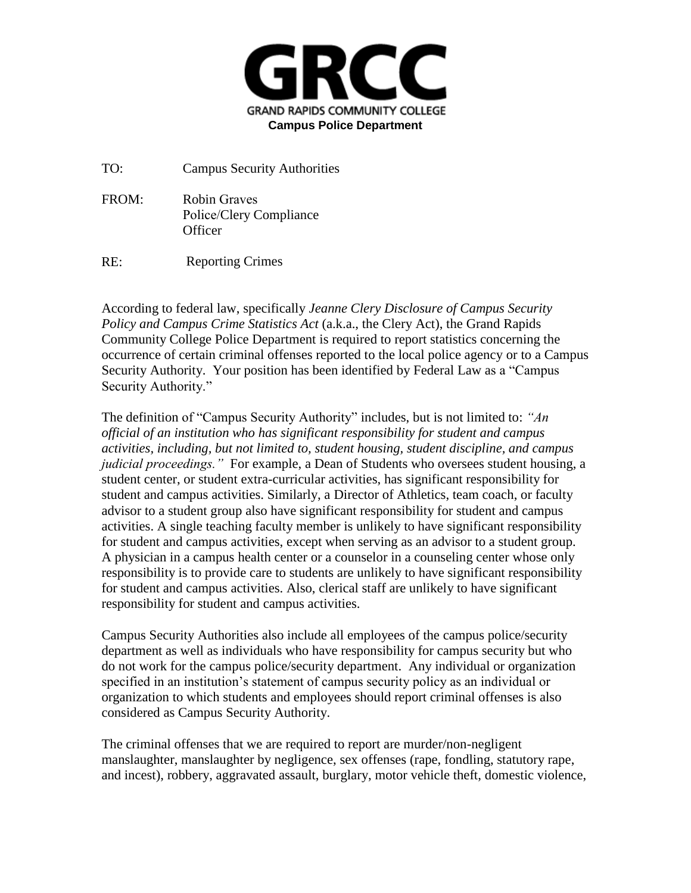

TO: Campus Security Authorities

FROM: Robin Graves Police/Clery Compliance **Officer** 

RE: Reporting Crimes

According to federal law, specifically *Jeanne Clery Disclosure of Campus Security Policy and Campus Crime Statistics Act* (a.k.a., the Clery Act), the Grand Rapids Community College Police Department is required to report statistics concerning the occurrence of certain criminal offenses reported to the local police agency or to a Campus Security Authority. Your position has been identified by Federal Law as a "Campus Security Authority."

The definition of "Campus Security Authority" includes, but is not limited to: *"An official of an institution who has significant responsibility for student and campus activities, including, but not limited to, student housing, student discipline, and campus judicial proceedings."* For example, a Dean of Students who oversees student housing, a student center, or student extra-curricular activities, has significant responsibility for student and campus activities. Similarly, a Director of Athletics, team coach, or faculty advisor to a student group also have significant responsibility for student and campus activities. A single teaching faculty member is unlikely to have significant responsibility for student and campus activities, except when serving as an advisor to a student group. A physician in a campus health center or a counselor in a counseling center whose only responsibility is to provide care to students are unlikely to have significant responsibility for student and campus activities. Also, clerical staff are unlikely to have significant responsibility for student and campus activities.

Campus Security Authorities also include all employees of the campus police/security department as well as individuals who have responsibility for campus security but who do not work for the campus police/security department. Any individual or organization specified in an institution's statement of campus security policy as an individual or organization to which students and employees should report criminal offenses is also considered as Campus Security Authority.

The criminal offenses that we are required to report are murder/non-negligent manslaughter, manslaughter by negligence, sex offenses (rape, fondling, statutory rape, and incest), robbery, aggravated assault, burglary, motor vehicle theft, domestic violence,